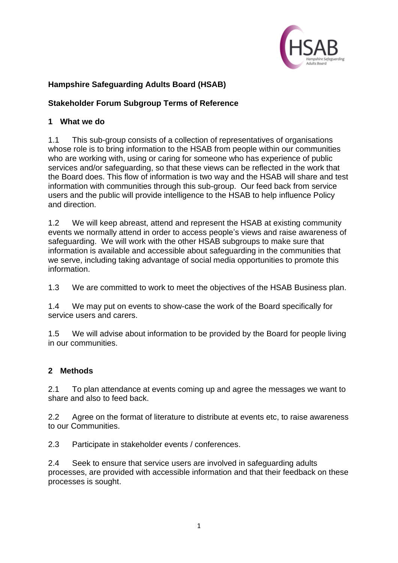

# **Hampshire Safeguarding Adults Board (HSAB)**

# **Stakeholder Forum Subgroup Terms of Reference**

#### **1 What we do**

1.1 This sub-group consists of a collection of representatives of organisations whose role is to bring information to the HSAB from people within our communities who are working with, using or caring for someone who has experience of public services and/or safeguarding, so that these views can be reflected in the work that the Board does. This flow of information is two way and the HSAB will share and test information with communities through this sub-group. Our feed back from service users and the public will provide intelligence to the HSAB to help influence Policy and direction.

1.2 We will keep abreast, attend and represent the HSAB at existing community events we normally attend in order to access people's views and raise awareness of safeguarding. We will work with the other HSAB subgroups to make sure that information is available and accessible about safeguarding in the communities that we serve, including taking advantage of social media opportunities to promote this information.

1.3 We are committed to work to meet the objectives of the HSAB Business plan.

1.4 We may put on events to show-case the work of the Board specifically for service users and carers.

1.5 We will advise about information to be provided by the Board for people living in our communities.

## **2 Methods**

2.1 To plan attendance at events coming up and agree the messages we want to share and also to feed back.

2.2 Agree on the format of literature to distribute at events etc, to raise awareness to our Communities.

2.3 Participate in stakeholder events / conferences.

2.4 Seek to ensure that service users are involved in safeguarding adults processes, are provided with accessible information and that their feedback on these processes is sought.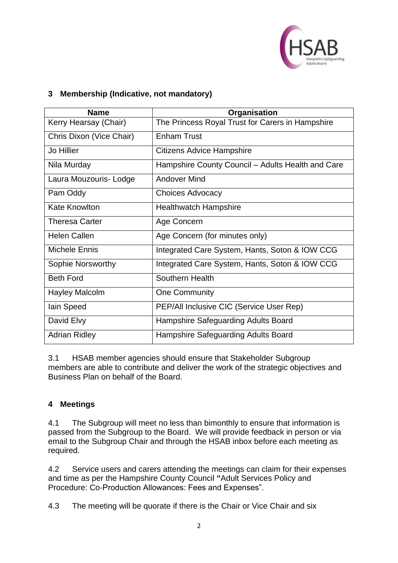

# **3 Membership (Indicative, not mandatory)**

| <b>Name</b>              | Organisation                                      |
|--------------------------|---------------------------------------------------|
| Kerry Hearsay (Chair)    | The Princess Royal Trust for Carers in Hampshire  |
| Chris Dixon (Vice Chair) | <b>Enham Trust</b>                                |
| Jo Hillier               | <b>Citizens Advice Hampshire</b>                  |
| Nila Murday              | Hampshire County Council - Adults Health and Care |
| Laura Mouzouris-Lodge    | <b>Andover Mind</b>                               |
| Pam Oddy                 | <b>Choices Advocacy</b>                           |
| <b>Kate Knowlton</b>     | <b>Healthwatch Hampshire</b>                      |
| <b>Theresa Carter</b>    | Age Concern                                       |
| <b>Helen Callen</b>      | Age Concern (for minutes only)                    |
| Michele Ennis            | Integrated Care System, Hants, Soton & IOW CCG    |
| Sophie Norsworthy        | Integrated Care System, Hants, Soton & IOW CCG    |
| <b>Beth Ford</b>         | Southern Health                                   |
| <b>Hayley Malcolm</b>    | <b>One Community</b>                              |
| lain Speed               | PEP/All Inclusive CIC (Service User Rep)          |
| David Elvy               | Hampshire Safeguarding Adults Board               |
| <b>Adrian Ridley</b>     | Hampshire Safeguarding Adults Board               |

3.1 HSAB member agencies should ensure that Stakeholder Subgroup members are able to contribute and deliver the work of the strategic objectives and Business Plan on behalf of the Board.

## **4 Meetings**

4.1 The Subgroup will meet no less than bimonthly to ensure that information is passed from the Subgroup to the Board. We will provide feedback in person or via email to the Subgroup Chair and through the HSAB inbox before each meeting as required.

4.2 Service users and carers attending the meetings can claim for their expenses and time as per the Hampshire County Council **"**Adult Services Policy and Procedure: Co-Production Allowances: Fees and Expenses".

4.3 The meeting will be quorate if there is the Chair or Vice Chair and six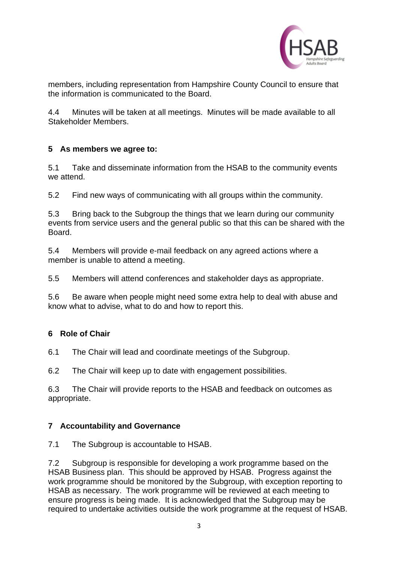

members, including representation from Hampshire County Council to ensure that the information is communicated to the Board.

4.4 Minutes will be taken at all meetings. Minutes will be made available to all Stakeholder Members.

## **5 As members we agree to:**

5.1 Take and disseminate information from the HSAB to the community events we attend.

5.2 Find new ways of communicating with all groups within the community.

5.3 Bring back to the Subgroup the things that we learn during our community events from service users and the general public so that this can be shared with the Board.

5.4 Members will provide e-mail feedback on any agreed actions where a member is unable to attend a meeting.

5.5 Members will attend conferences and stakeholder days as appropriate.

5.6 Be aware when people might need some extra help to deal with abuse and know what to advise, what to do and how to report this.

## **6 Role of Chair**

6.1 The Chair will lead and coordinate meetings of the Subgroup.

6.2 The Chair will keep up to date with engagement possibilities.

6.3 The Chair will provide reports to the HSAB and feedback on outcomes as appropriate.

## **7 Accountability and Governance**

7.1 The Subgroup is accountable to HSAB.

7.2 Subgroup is responsible for developing a work programme based on the HSAB Business plan. This should be approved by HSAB. Progress against the work programme should be monitored by the Subgroup, with exception reporting to HSAB as necessary. The work programme will be reviewed at each meeting to ensure progress is being made. It is acknowledged that the Subgroup may be required to undertake activities outside the work programme at the request of HSAB.